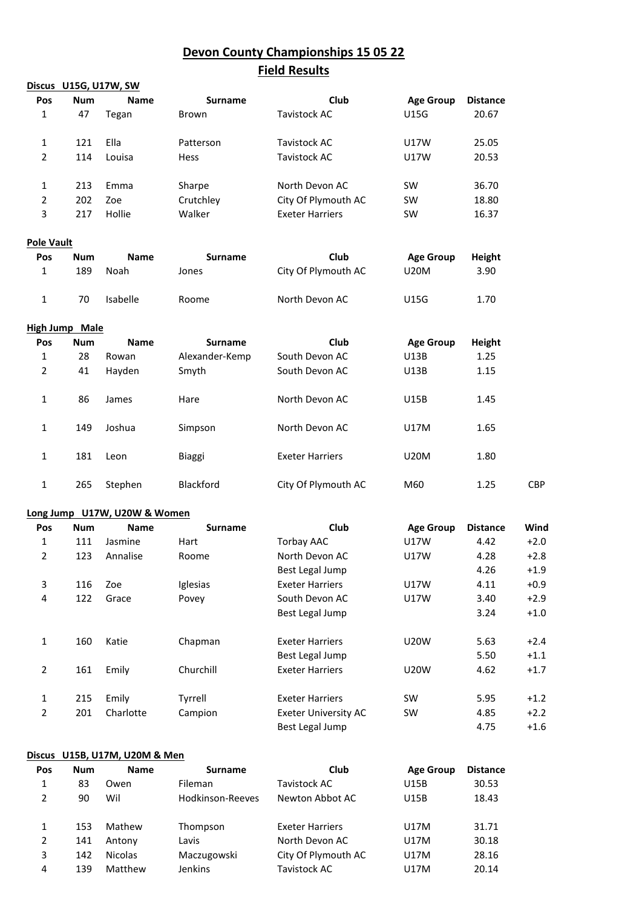## **Devon County Championships 15 05 22**

# **Field Results**

|                   |                       | Discus U15G, U17W, SW        |                |                             |                  |                 |        |
|-------------------|-----------------------|------------------------------|----------------|-----------------------------|------------------|-----------------|--------|
| Pos               | <b>Num</b>            | <b>Name</b>                  | <b>Surname</b> | Club                        | <b>Age Group</b> | <b>Distance</b> |        |
| 1                 | 47                    | Tegan                        | Brown          | <b>Tavistock AC</b>         | U15G             | 20.67           |        |
| $\mathbf{1}$      | 121                   | Ella                         | Patterson      | Tavistock AC                | U17W             | 25.05           |        |
| $\overline{2}$    | 114                   | Louisa                       | Hess           | Tavistock AC                | U17W             | 20.53           |        |
| 1                 | 213                   | Emma                         | Sharpe         | North Devon AC              | SW               | 36.70           |        |
| 2                 | 202                   | Zoe                          | Crutchley      | City Of Plymouth AC         | SW               | 18.80           |        |
| 3                 | 217                   | Hollie                       | Walker         | <b>Exeter Harriers</b>      | SW               | 16.37           |        |
| <b>Pole Vault</b> |                       |                              |                |                             |                  |                 |        |
| Pos               | <b>Num</b>            | <b>Name</b>                  | <b>Surname</b> | Club                        | <b>Age Group</b> | <b>Height</b>   |        |
| 1                 | 189                   | Noah                         | Jones          | City Of Plymouth AC         | <b>U20M</b>      | 3.90            |        |
| 1                 | 70                    | Isabelle                     | Roome          | North Devon AC              | U15G             | 1.70            |        |
|                   | <b>High Jump Male</b> |                              |                |                             |                  |                 |        |
| Pos               | <b>Num</b>            | <b>Name</b>                  | Surname        | Club                        | <b>Age Group</b> | Height          |        |
| 1                 | 28                    | Rowan                        | Alexander-Kemp | South Devon AC              | U13B             | 1.25            |        |
| 2                 | 41                    | Hayden                       | Smyth          | South Devon AC              | U13B             | 1.15            |        |
| 1                 | 86                    | James                        | Hare           | North Devon AC              | U15B             | 1.45            |        |
| 1                 | 149                   | Joshua                       | Simpson        | North Devon AC              | U17M             | 1.65            |        |
| 1                 | 181                   | Leon                         | Biaggi         | <b>Exeter Harriers</b>      | <b>U20M</b>      | 1.80            |        |
| $\mathbf{1}$      | 265                   | Stephen                      | Blackford      | City Of Plymouth AC         | M60              | 1.25            | CBP    |
|                   |                       | Long Jump U17W, U20W & Women |                |                             |                  |                 |        |
| Pos               | <b>Num</b>            | <b>Name</b>                  | <b>Surname</b> | Club                        | <b>Age Group</b> | <b>Distance</b> | Wind   |
| 1                 | 111                   | Jasmine                      | Hart           | <b>Torbay AAC</b>           | U17W             | 4.42            | $+2.0$ |
| $\overline{2}$    | 123                   | Annalise                     | Roome          | North Devon AC              | U17W             | 4.28            | $+2.8$ |
|                   |                       |                              |                | Best Legal Jump             |                  | 4.26            | $+1.9$ |
| 3                 | 116                   | Zoe                          | Iglesias       | <b>Exeter Harriers</b>      | U17W             | 4.11            | $+0.9$ |
| 4                 | 122                   | Grace                        | Povey          | South Devon AC              | U17W             | 3.40            | $+2.9$ |
|                   |                       |                              |                | Best Legal Jump             |                  | 3.24            | $+1.0$ |
| $\mathbf{1}$      | 160                   | Katie                        | Chapman        | <b>Exeter Harriers</b>      | <b>U20W</b>      | 5.63            | $+2.4$ |
|                   |                       |                              |                | Best Legal Jump             |                  | 5.50            | $+1.1$ |
| $\overline{2}$    | 161                   | Emily                        | Churchill      | <b>Exeter Harriers</b>      | <b>U20W</b>      | 4.62            | $+1.7$ |
| $\mathbf{1}$      | 215                   | Emily                        | Tyrrell        | <b>Exeter Harriers</b>      | SW               | 5.95            | $+1.2$ |
| $\overline{2}$    | 201                   | Charlotte                    | Campion        | <b>Exeter University AC</b> | SW               | 4.85            | $+2.2$ |
|                   |                       |                              |                | Best Legal Jump             |                  | 4.75            | $+1.6$ |

### **Discus U15B, U17M, U20M & Men**

| Pos | <b>Num</b> | <b>Name</b>    | <b>Surname</b>   | Club                   | <b>Age Group</b> | <b>Distance</b> |
|-----|------------|----------------|------------------|------------------------|------------------|-----------------|
| 1   | 83         | Owen           | Fileman          | Tavistock AC           | U15B             | 30.53           |
| 2   | 90         | Wil            | Hodkinson-Reeves | Newton Abbot AC        | U15B             | 18.43           |
| 1   | 153        | Mathew         | Thompson         | <b>Exeter Harriers</b> | U17M             | 31.71           |
| 2   | 141        | Antony         | Lavis            | North Devon AC         | U17M             | 30.18           |
| 3   | 142        | <b>Nicolas</b> | Maczugowski      | City Of Plymouth AC    | U17M             | 28.16           |
| 4   | 139        | Matthew        | <b>Jenkins</b>   | Tavistock AC           | U17M             | 20.14           |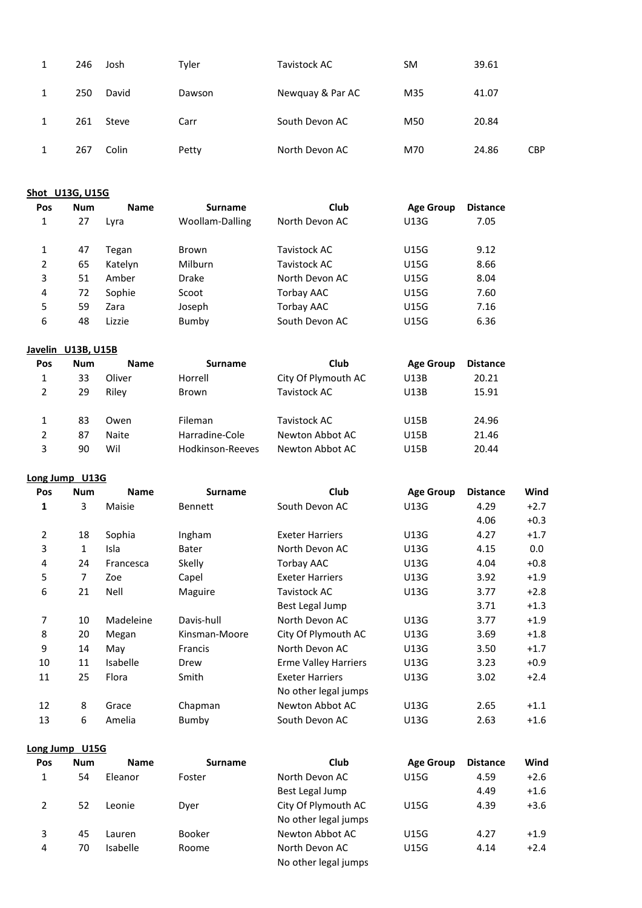|  | 246 | Josh  | Tyler  | Tavistock AC     | <b>SM</b> | 39.61 |            |
|--|-----|-------|--------|------------------|-----------|-------|------------|
|  | 250 | David | Dawson | Newquay & Par AC | M35       | 41.07 |            |
|  | 261 | Steve | Carr   | South Devon AC   | M50       | 20.84 |            |
|  | 267 | Colin | Petty  | North Devon AC   | M70       | 24.86 | <b>CBP</b> |

**Shot U13G, U15G**

| Pos | <b>Num</b> | <b>Name</b> | <b>Surname</b>  | Club              | <b>Age Group</b> | <b>Distance</b> |
|-----|------------|-------------|-----------------|-------------------|------------------|-----------------|
| 1   | 27         | Lyra        | Woollam-Dalling | North Devon AC    | U13G             | 7.05            |
| 1   | 47         | Tegan       | Brown           | Tavistock AC      | U15G             | 9.12            |
| 2   | 65         | Katelyn     | <b>Milburn</b>  | Tavistock AC      | <b>U15G</b>      | 8.66            |
| 3   | 51         | Amber       | <b>Drake</b>    | North Devon AC    | <b>U15G</b>      | 8.04            |
| 4   | 72         | Sophie      | Scoot           | Torbay AAC        | U15G             | 7.60            |
| 5   | 59         | Zara        | Joseph          | <b>Torbay AAC</b> | <b>U15G</b>      | 7.16            |
| 6   | 48         | Lizzie      | Bumby           | South Devon AC    | U15G             | 6.36            |

## **Javelin U13B, U15B**

| Pos           | Num | <b>Name</b> | <b>Surname</b>   | Club                | <b>Age Group</b> | <b>Distance</b> |
|---------------|-----|-------------|------------------|---------------------|------------------|-----------------|
| 1             | 33  | Oliver      | Horrell          | City Of Plymouth AC | U13B             | 20.21           |
|               | 29  | Rilev       | Brown            | Tavistock AC        | U13B             | 15.91           |
|               | 83  | Owen        | Fileman          | Tavistock AC        | U15B             | 24.96           |
| $\mathcal{P}$ | 87  | Naite       | Harradine-Cole   | Newton Abbot AC     | U15B             | 21.46           |
| 3             | 90  | Wil         | Hodkinson-Reeves | Newton Abbot AC     | U15B             | 20.44           |

## **Long Jump U13G**

| Pos | <b>Num</b> | <b>Name</b> | <b>Surname</b> | Club                        | <b>Age Group</b> | <b>Distance</b> | Wind   |
|-----|------------|-------------|----------------|-----------------------------|------------------|-----------------|--------|
| 1   | 3          | Maisie      | <b>Bennett</b> | South Devon AC              | U13G             | 4.29            | $+2.7$ |
|     |            |             |                |                             |                  | 4.06            | $+0.3$ |
| 2   | 18         | Sophia      | Ingham         | <b>Exeter Harriers</b>      | U13G             | 4.27            | $+1.7$ |
| 3   | 1          | Isla        | Bater          | North Devon AC              | U13G             | 4.15            | 0.0    |
| 4   | 24         | Francesca   | Skelly         | Torbay AAC                  | U13G             | 4.04            | $+0.8$ |
| 5   | 7          | Zoe         | Capel          | <b>Exeter Harriers</b>      | U13G             | 3.92            | $+1.9$ |
| 6   | 21         | Nell        | Maguire        | Tavistock AC                | U13G             | 3.77            | $+2.8$ |
|     |            |             |                | Best Legal Jump             |                  | 3.71            | $+1.3$ |
| 7   | 10         | Madeleine   | Davis-hull     | North Devon AC              | U13G             | 3.77            | $+1.9$ |
| 8   | 20         | Megan       | Kinsman-Moore  | City Of Plymouth AC         | U13G             | 3.69            | $+1.8$ |
| 9   | 14         | May         | Francis        | North Devon AC              | U13G             | 3.50            | $+1.7$ |
| 10  | 11         | Isabelle    | Drew           | <b>Erme Valley Harriers</b> | U13G             | 3.23            | $+0.9$ |
| 11  | 25         | Flora       | Smith          | <b>Exeter Harriers</b>      | U13G             | 3.02            | $+2.4$ |
|     |            |             |                | No other legal jumps        |                  |                 |        |
| 12  | 8          | Grace       | Chapman        | Newton Abbot AC             | U13G             | 2.65            | $+1.1$ |
| 13  | 6          | Amelia      | Bumby          | South Devon AC              | U13G             | 2.63            | $+1.6$ |

### **Long Jump U15G**

| Pos | <b>Num</b> | <b>Name</b>     | <b>Surname</b> | Club                 | <b>Age Group</b> | <b>Distance</b> | Wind   |
|-----|------------|-----------------|----------------|----------------------|------------------|-----------------|--------|
|     | 54         | Eleanor         | Foster         | North Devon AC       | U15G             | 4.59            | $+2.6$ |
|     |            |                 |                | Best Legal Jump      |                  | 4.49            | $+1.6$ |
| 2   | 52         | Leonie          | Dver           | City Of Plymouth AC  | U15G             | 4.39            | $+3.6$ |
|     |            |                 |                | No other legal jumps |                  |                 |        |
| 3   | 45         | Lauren          | <b>Booker</b>  | Newton Abbot AC      | U15G             | 4.27            | $+1.9$ |
| 4   | 70         | <b>Isabelle</b> | Roome          | North Devon AC       | U15G             | 4.14            | $+2.4$ |
|     |            |                 |                | No other legal jumps |                  |                 |        |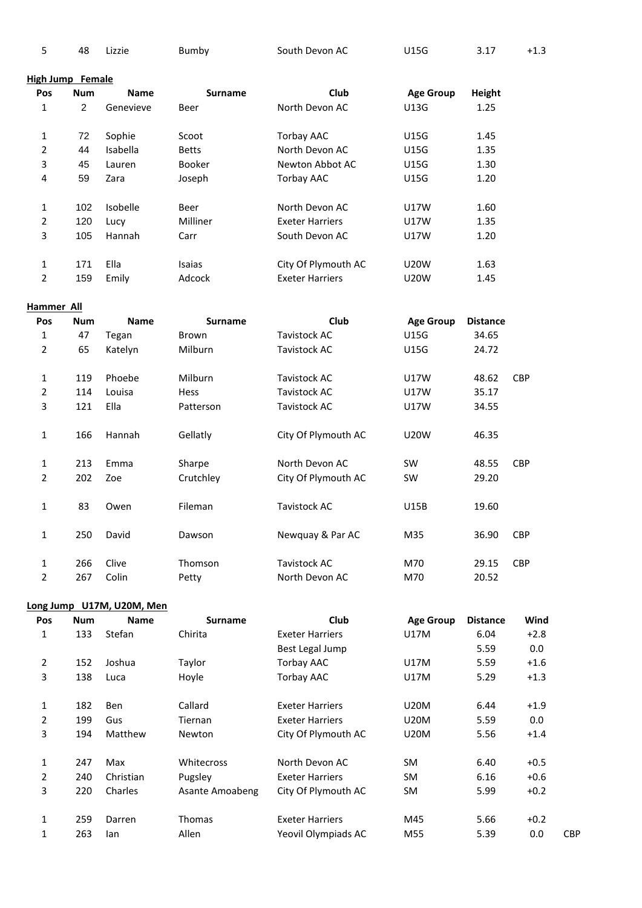|  |  | 48<br>$\sim$ | .izzie<br>______ | Bumby | South Devon AC | U15G | 3.17 | $+1.3$<br>__ |
|--|--|--------------|------------------|-------|----------------|------|------|--------------|
|--|--|--------------|------------------|-------|----------------|------|------|--------------|

### **High Jump Female**

| Pos | <b>Num</b> | <b>Name</b> | <b>Surname</b> | Club                   | <b>Age Group</b> | Height |
|-----|------------|-------------|----------------|------------------------|------------------|--------|
| 1   | 2          | Genevieve   | Beer           | North Devon AC         | <b>U13G</b>      | 1.25   |
|     |            |             |                |                        |                  |        |
| 1   | 72         | Sophie      | Scoot          | <b>Torbay AAC</b>      | <b>U15G</b>      | 1.45   |
| 2   | 44         | Isabella    | <b>Betts</b>   | North Devon AC         | <b>U15G</b>      | 1.35   |
| 3   | 45         | Lauren      | <b>Booker</b>  | Newton Abbot AC        | <b>U15G</b>      | 1.30   |
| 4   | 59         | Zara        | Joseph         | <b>Torbay AAC</b>      | <b>U15G</b>      | 1.20   |
|     |            |             |                |                        |                  |        |
| 1   | 102        | Isobelle    | Beer           | North Devon AC         | <b>U17W</b>      | 1.60   |
| 2   | 120        | Lucy        | Milliner       | <b>Exeter Harriers</b> | U17W             | 1.35   |
| 3   | 105        | Hannah      | Carr           | South Devon AC         | <b>U17W</b>      | 1.20   |
|     |            |             |                |                        |                  |        |
| 1   | 171        | Ella        | Isaias         | City Of Plymouth AC    | <b>U20W</b>      | 1.63   |
| 2   | 159        | Emily       | Adcock         | <b>Exeter Harriers</b> | <b>U20W</b>      | 1.45   |

## **Hammer All**

| Pos | <b>Num</b> | <b>Name</b> | <b>Surname</b> | Club                |                  | <b>Distance</b> |            |
|-----|------------|-------------|----------------|---------------------|------------------|-----------------|------------|
|     |            |             |                |                     | <b>Age Group</b> |                 |            |
| 1   | 47         | Tegan       | Brown          | Tavistock AC        | <b>U15G</b>      | 34.65           |            |
| 2   | 65         | Katelyn     | Milburn        | <b>Tavistock AC</b> | <b>U15G</b>      | 24.72           |            |
| 1   | 119        | Phoebe      | Milburn        | <b>Tavistock AC</b> | U17W             | 48.62           | <b>CBP</b> |
| 2   | 114        | Louisa      | <b>Hess</b>    | Tavistock AC        | <b>U17W</b>      | 35.17           |            |
| 3   | 121        | Ella        | Patterson      | Tavistock AC        | U17W             | 34.55           |            |
| 1   | 166        | Hannah      | Gellatly       | City Of Plymouth AC | <b>U20W</b>      | 46.35           |            |
| 1   | 213        | Emma        | Sharpe         | North Devon AC      | <b>SW</b>        | 48.55           | <b>CBP</b> |
| 2   | 202        | Zoe         | Crutchley      | City Of Plymouth AC | <b>SW</b>        | 29.20           |            |
| 1   | 83         | Owen        | Fileman        | Tavistock AC        | U15B             | 19.60           |            |
| 1   | 250        | David       | Dawson         | Newquay & Par AC    | M35              | 36.90           | <b>CBP</b> |
| 1   | 266        | Clive       | Thomson        | <b>Tavistock AC</b> | M70              | 29.15           | <b>CBP</b> |
| 2   | 267        | Colin       | Petty          | North Devon AC      | M70              | 20.52           |            |

| Long Jump U17M, U20M, Men |  |
|---------------------------|--|
|---------------------------|--|

| Pos            | <b>Num</b> | <b>Name</b> | <b>Surname</b>  | Club                   | <b>Age Group</b> | <b>Distance</b> | Wind   |     |
|----------------|------------|-------------|-----------------|------------------------|------------------|-----------------|--------|-----|
| 1              | 133        | Stefan      | Chirita         | <b>Exeter Harriers</b> | U17M             | 6.04            | $+2.8$ |     |
|                |            |             |                 | Best Legal Jump        |                  | 5.59            | 0.0    |     |
| $\overline{2}$ | 152        | Joshua      | Taylor          | <b>Torbay AAC</b>      | U17M             | 5.59            | $+1.6$ |     |
| 3              | 138        | Luca        | Hoyle           | <b>Torbay AAC</b>      | U17M             | 5.29            | $+1.3$ |     |
|                |            |             |                 |                        |                  |                 |        |     |
| 1              | 182        | <b>Ben</b>  | Callard         | <b>Exeter Harriers</b> | <b>U20M</b>      | 6.44            | $+1.9$ |     |
| 2              | 199        | Gus         | Tiernan         | <b>Exeter Harriers</b> | <b>U20M</b>      | 5.59            | 0.0    |     |
| 3              | 194        | Matthew     | <b>Newton</b>   | City Of Plymouth AC    | <b>U20M</b>      | 5.56            | $+1.4$ |     |
|                |            |             |                 |                        |                  |                 |        |     |
| 1              | 247        | Max         | Whitecross      | North Devon AC         | <b>SM</b>        | 6.40            | $+0.5$ |     |
| 2              | 240        | Christian   | Pugsley         | <b>Exeter Harriers</b> | <b>SM</b>        | 6.16            | $+0.6$ |     |
| 3              | 220        | Charles     | Asante Amoabeng | City Of Plymouth AC    | <b>SM</b>        | 5.99            | $+0.2$ |     |
|                |            |             |                 |                        |                  |                 |        |     |
| 1              | 259        | Darren      | <b>Thomas</b>   | <b>Exeter Harriers</b> | M45              | 5.66            | $+0.2$ |     |
| 1              | 263        | lan         | Allen           | Yeovil Olympiads AC    | M55              | 5.39            | 0.0    | CBP |
|                |            |             |                 |                        |                  |                 |        |     |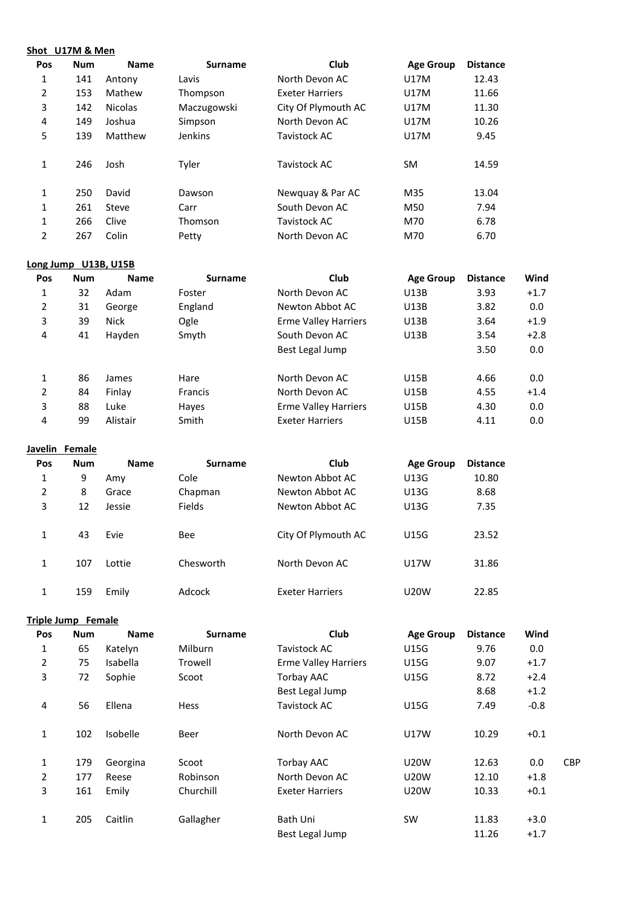|     | Shot U17M & Men |                |                |                        |                  |                 |
|-----|-----------------|----------------|----------------|------------------------|------------------|-----------------|
| Pos | <b>Num</b>      | <b>Name</b>    | <b>Surname</b> | Club                   | <b>Age Group</b> | <b>Distance</b> |
| 1   | 141             | Antony         | Lavis          | North Devon AC         | U17M             | 12.43           |
| 2   | 153             | Mathew         | Thompson       | <b>Exeter Harriers</b> | U17M             | 11.66           |
| 3   | 142             | <b>Nicolas</b> | Maczugowski    | City Of Plymouth AC    | U17M             | 11.30           |
| 4   | 149             | Joshua         | Simpson        | North Devon AC         | U17M             | 10.26           |
| 5   | 139             | Matthew        | Jenkins        | Tavistock AC           | U17M             | 9.45            |
| 1   | 246             | Josh           | Tyler          | Tavistock AC           | <b>SM</b>        | 14.59           |
| 1   | 250             | David          | Dawson         | Newquay & Par AC       | M35              | 13.04           |
| 1   | 261             | Steve          | Carr           | South Devon AC         | M50              | 7.94            |
| 1   | 266             | Clive          | Thomson        | Tavistock AC           | M70              | 6.78            |
| 2   | 267             | Colin          | Petty          | North Devon AC         | M70              | 6.70            |

## **Long Jump U13B, U15B**

| Pos | <b>Num</b> | <b>Name</b> | <b>Surname</b> | Club                        | <b>Age Group</b> | <b>Distance</b> | Wind   |
|-----|------------|-------------|----------------|-----------------------------|------------------|-----------------|--------|
| 1   | 32         | Adam        | Foster         | North Devon AC              | U13B             | 3.93            | $+1.7$ |
| 2   | 31         | George      | England        | Newton Abbot AC             | U13B             | 3.82            | 0.0    |
| 3   | 39         | <b>Nick</b> | Ogle           | <b>Erme Valley Harriers</b> | U13B             | 3.64            | $+1.9$ |
| 4   | 41         | Hayden      | Smyth          | South Devon AC              | U13B             | 3.54            | $+2.8$ |
|     |            |             |                | Best Legal Jump             |                  | 3.50            | 0.0    |
| 1   | 86         | James       | Hare           | North Devon AC              | U15B             | 4.66            | 0.0    |
| 2   | 84         | Finlay      | <b>Francis</b> | North Devon AC              | U15B             | 4.55            | $+1.4$ |
| 3   | 88         | Luke        | Hayes          | <b>Erme Valley Harriers</b> | U15B             | 4.30            | 0.0    |
| 4   | 99         | Alistair    | Smith          | <b>Exeter Harriers</b>      | <b>U15B</b>      | 4.11            | 0.0    |

### **Javelin Female**

| Pos | <b>Num</b> | <b>Name</b> | <b>Surname</b> | <b>Club</b>            | <b>Age Group</b> | <b>Distance</b> |
|-----|------------|-------------|----------------|------------------------|------------------|-----------------|
| 1   | 9          | Amy         | Cole           | Newton Abbot AC        | U13G             | 10.80           |
| 2   | 8          | Grace       | Chapman        | Newton Abbot AC        | U13G             | 8.68            |
| 3   | 12         | Jessie      | <b>Fields</b>  | Newton Abbot AC        | U13G             | 7.35            |
| 1   | 43         | Evie        | <b>Bee</b>     | City Of Plymouth AC    | <b>U15G</b>      | 23.52           |
| 1   | 107        | Lottie      | Chesworth      | North Devon AC         | U17W             | 31.86           |
| 1   | 159        | Emily       | Adcock         | <b>Exeter Harriers</b> | <b>U20W</b>      | 22.85           |

## **Triple Jump Female**

| Pos            | <b>Num</b> | <b>Name</b> | <b>Surname</b> | Club                        | <b>Age Group</b> | <b>Distance</b> | Wind             |            |
|----------------|------------|-------------|----------------|-----------------------------|------------------|-----------------|------------------|------------|
| 1              | 65         | Katelyn     | Milburn        | Tavistock AC                | <b>U15G</b>      | 9.76            | 0.0              |            |
| 2              | 75         | Isabella    | Trowell        | <b>Erme Valley Harriers</b> | U15G             | 9.07            | $+1.7$           |            |
| 3              | 72         | Sophie      | Scoot          | Torbay AAC                  | U15G             | 8.72            | $+2.4$           |            |
|                |            |             |                | Best Legal Jump             |                  | 8.68            | $+1.2$           |            |
| 4              | 56         | Ellena      | Hess           | <b>Tavistock AC</b>         | <b>U15G</b>      | 7.49            | $-0.8$           |            |
| $\mathbf{1}$   | 102        | Isobelle    | Beer           | North Devon AC              | <b>U17W</b>      | 10.29           | $+0.1$           |            |
| 1              | 179        | Georgina    | Scoot          | Torbay AAC                  | <b>U20W</b>      | 12.63           | 0.0              | <b>CBP</b> |
| $\overline{2}$ | 177        | Reese       | Robinson       | North Devon AC              | <b>U20W</b>      | 12.10           | $+1.8$           |            |
| 3              | 161        | Emily       | Churchill      | <b>Exeter Harriers</b>      | <b>U20W</b>      | 10.33           | $+0.1$           |            |
| 1              | 205        | Caitlin     | Gallagher      | Bath Uni<br>Best Legal Jump | <b>SW</b>        | 11.83<br>11.26  | $+3.0$<br>$+1.7$ |            |